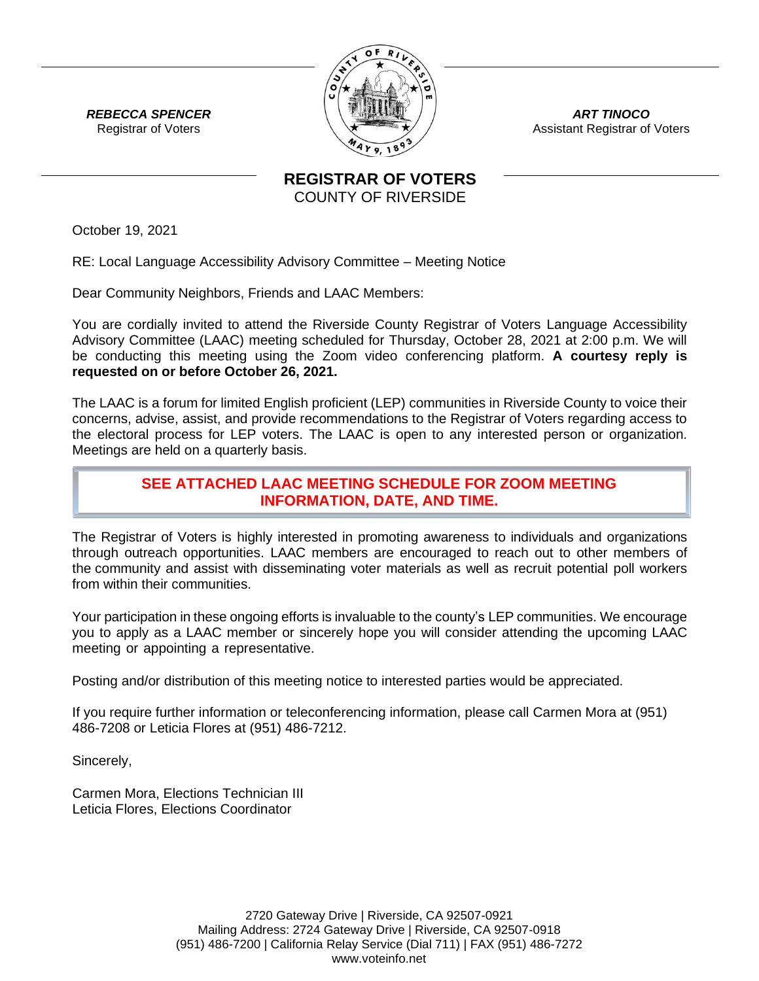

*ART TINOCO* Assistant Registrar of Voters

*REBECCA SPENCER* Registrar of Voters

> **REGISTRAR OF VOTERS** COUNTY OF RIVERSIDE

October 19, 2021

RE: Local Language Accessibility Advisory Committee – Meeting Notice

Dear Community Neighbors, Friends and LAAC Members:

You are cordially invited to attend the Riverside County Registrar of Voters Language Accessibility Advisory Committee (LAAC) meeting scheduled for Thursday, October 28, 2021 at 2:00 p.m. We will be conducting this meeting using the Zoom video conferencing platform. **A courtesy reply is requested on or before October 26, 2021.**

The LAAC is a forum for limited English proficient (LEP) communities in Riverside County to voice their concerns, advise, assist, and provide recommendations to the Registrar of Voters regarding access to the electoral process for LEP voters. The LAAC is open to any interested person or organization. Meetings are held on a quarterly basis.

## **SEE ATTACHED LAAC MEETING SCHEDULE FOR ZOOM MEETING INFORMATION, DATE, AND TIME.**

The Registrar of Voters is highly interested in promoting awareness to individuals and organizations through outreach opportunities. LAAC members are encouraged to reach out to other members of the community and assist with disseminating voter materials as well as recruit potential poll workers from within their communities.

Your participation in these ongoing efforts is invaluable to the county's LEP communities. We encourage you to apply as a LAAC member or sincerely hope you will consider attending the upcoming LAAC meeting or appointing a representative.

Posting and/or distribution of this meeting notice to interested parties would be appreciated.

If you require further information or teleconferencing information, please call Carmen Mora at (951) 486-7208 or Leticia Flores at (951) 486-7212.

Sincerely,

Carmen Mora, Elections Technician III Leticia Flores, Elections Coordinator